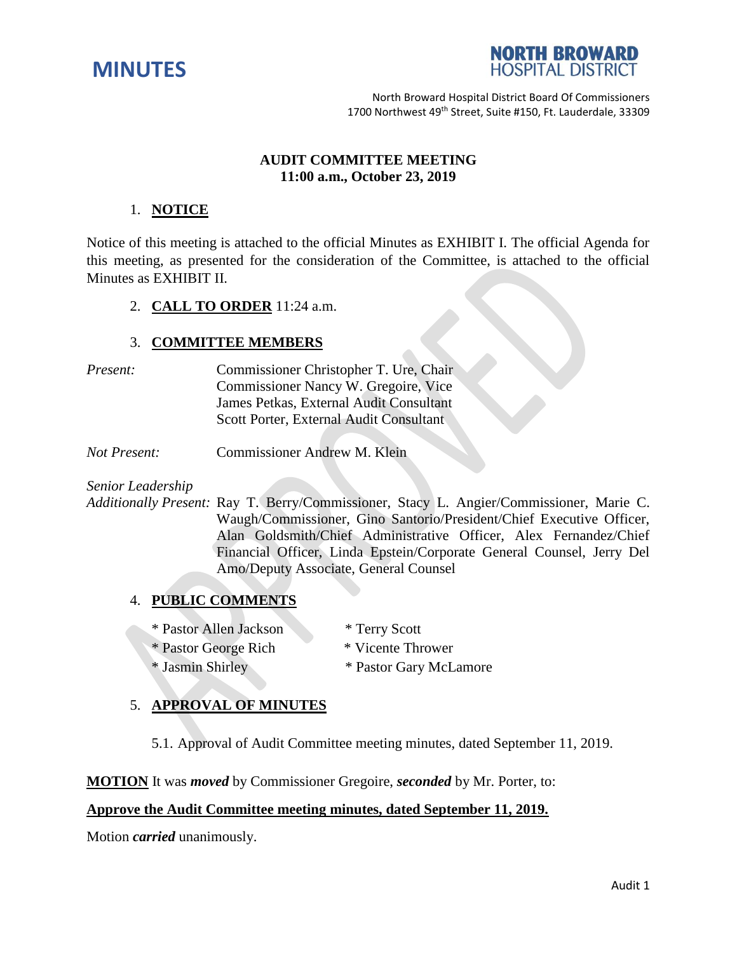



North Broward Hospital District Board Of Commissioners 1700 Northwest 49<sup>th</sup> Street, Suite #150, Ft. Lauderdale, 33309

### **AUDIT COMMITTEE MEETING 11:00 a.m., October 23, 2019**

## 1. **NOTICE**

Notice of this meeting is attached to the official Minutes as EXHIBIT I. The official Agenda for this meeting, as presented for the consideration of the Committee, is attached to the official Minutes as EXHIBIT II.

2. **CALL TO ORDER** 11:24 a.m.

### 3. **COMMITTEE MEMBERS**

- *Present:* Commissioner Christopher T. Ure, Chair Commissioner Nancy W. Gregoire, Vice James Petkas, External Audit Consultant Scott Porter, External Audit Consultant
- *Not Present:* Commissioner Andrew M. Klein

*Senior Leadership*

*Additionally Present:* Ray T. Berry/Commissioner, Stacy L. Angier/Commissioner, Marie C. Waugh/Commissioner, Gino Santorio/President/Chief Executive Officer, Alan Goldsmith/Chief Administrative Officer, Alex Fernandez/Chief Financial Officer, Linda Epstein/Corporate General Counsel, Jerry Del Amo/Deputy Associate, General Counsel

# 4. **PUBLIC COMMENTS**

- \* Pastor Allen Jackson \* Terry Scott
- \* Pastor George Rich \* Vicente Thrower
- 
- 
- \* Jasmin Shirley \* Pastor Gary McLamore
- 5. **APPROVAL OF MINUTES**
	- 5.1. Approval of Audit Committee meeting minutes, dated September 11, 2019.

**MOTION** It was *moved* by Commissioner Gregoire, *seconded* by Mr. Porter, to:

## **Approve the Audit Committee meeting minutes, dated September 11, 2019.**

Motion *carried* unanimously.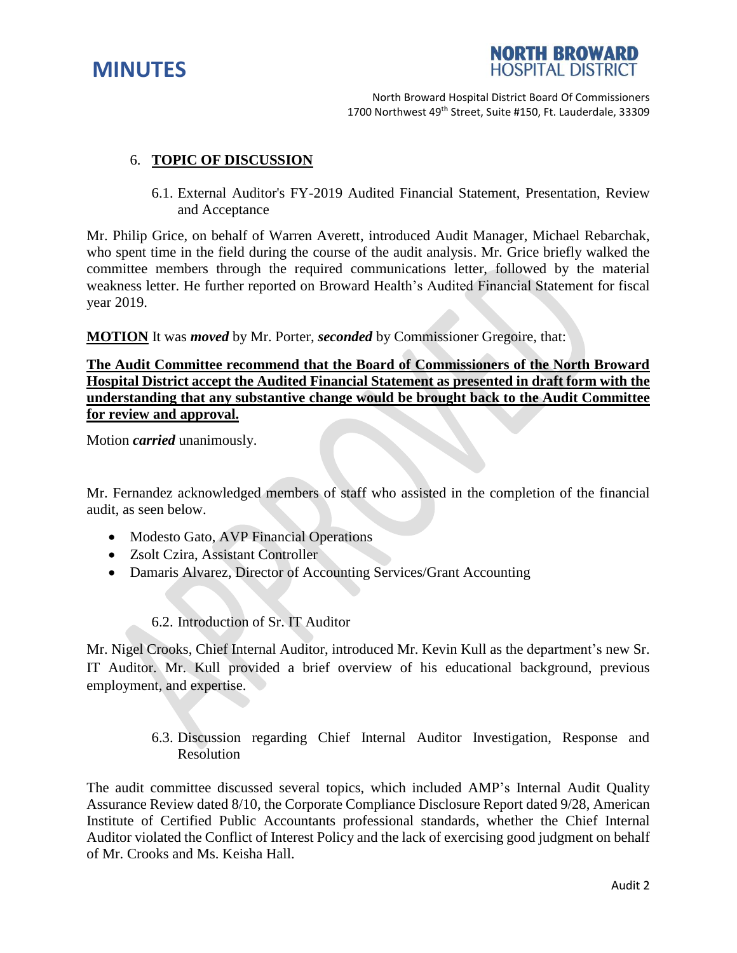



North Broward Hospital District Board Of Commissioners 1700 Northwest 49<sup>th</sup> Street, Suite #150, Ft. Lauderdale, 33309

### 6. **TOPIC OF DISCUSSION**

6.1. External Auditor's FY-2019 Audited Financial Statement, Presentation, Review and Acceptance

Mr. Philip Grice, on behalf of Warren Averett, introduced Audit Manager, Michael Rebarchak, who spent time in the field during the course of the audit analysis. Mr. Grice briefly walked the committee members through the required communications letter, followed by the material weakness letter. He further reported on Broward Health's Audited Financial Statement for fiscal year 2019.

**MOTION** It was *moved* by Mr. Porter, *seconded* by Commissioner Gregoire, that:

# **The Audit Committee recommend that the Board of Commissioners of the North Broward Hospital District accept the Audited Financial Statement as presented in draft form with the understanding that any substantive change would be brought back to the Audit Committee for review and approval.**

Motion *carried* unanimously.

Mr. Fernandez acknowledged members of staff who assisted in the completion of the financial audit, as seen below.

- Modesto Gato, AVP Financial Operations
- Zsolt Czira, Assistant Controller
- Damaris Alvarez, Director of Accounting Services/Grant Accounting

## 6.2. Introduction of Sr. IT Auditor

Mr. Nigel Crooks, Chief Internal Auditor, introduced Mr. Kevin Kull as the department's new Sr. IT Auditor. Mr. Kull provided a brief overview of his educational background, previous employment, and expertise.

> 6.3. Discussion regarding Chief Internal Auditor Investigation, Response and Resolution

The audit committee discussed several topics, which included AMP's Internal Audit Quality Assurance Review dated 8/10, the Corporate Compliance Disclosure Report dated 9/28, American Institute of Certified Public Accountants professional standards, whether the Chief Internal Auditor violated the Conflict of Interest Policy and the lack of exercising good judgment on behalf of Mr. Crooks and Ms. Keisha Hall.